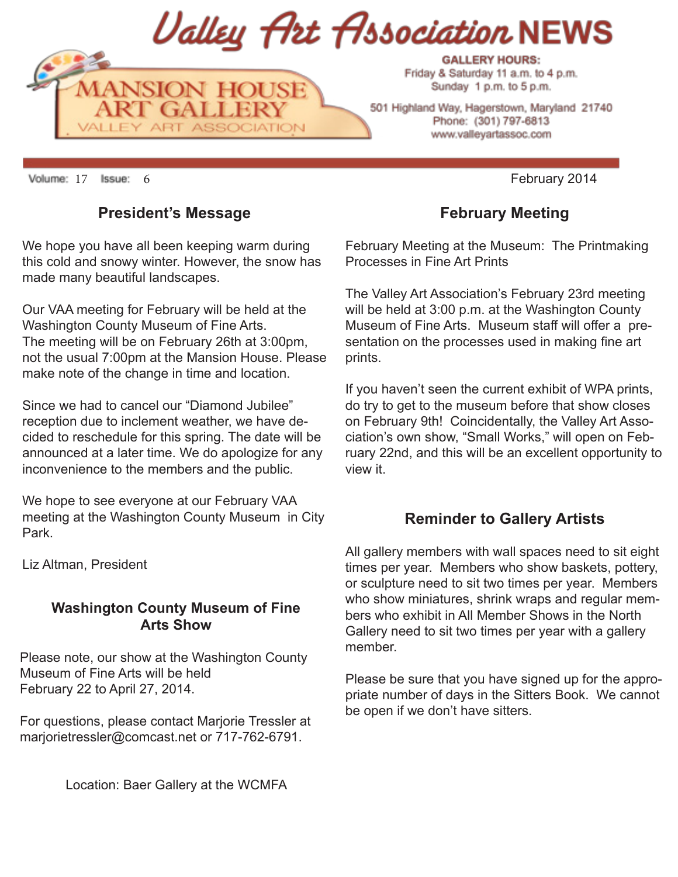

501 Highland Way, Hagerstown, Maryland 21740 Phone: (301) 797-6813 www.valleyartassoc.com

Volume: 17 Issue: 6 **February 2014** 

### **President's Message**

We hope you have all been keeping warm during this cold and snowy winter. However, the snow has made many beautiful landscapes.

Our VAA meeting for February will be held at the Washington County Museum of Fine Arts. The meeting will be on February 26th at 3:00pm, not the usual 7:00pm at the Mansion House. Please make note of the change in time and location.

Since we had to cancel our "Diamond Jubilee" reception due to inclement weather, we have decided to reschedule for this spring. The date will be announced at a later time. We do apologize for any inconvenience to the members and the public.

We hope to see everyone at our February VAA meeting at the Washington County Museum in City Park.

Liz Altman, President

#### **Washington County Museum of Fine Arts Show**

Please note, our show at the Washington County Museum of Fine Arts will be held February 22 to April 27, 2014.

For questions, please contact Marjorie Tressler at marjorietressler@comcast.net or 717-762-6791.

### **February Meeting**

February Meeting at the Museum: The Printmaking Processes in Fine Art Prints

The Valley Art Association's February 23rd meeting will be held at 3:00 p.m. at the Washington County Museum of Fine Arts. Museum staff will offer a presentation on the processes used in making fine art prints.

If you haven't seen the current exhibit of WPA prints, do try to get to the museum before that show closes on February 9th! Coincidentally, the Valley Art Association's own show, "Small Works," will open on February 22nd, and this will be an excellent opportunity to view it.

### **Reminder to Gallery Artists**

All gallery members with wall spaces need to sit eight times per year. Members who show baskets, pottery, or sculpture need to sit two times per year. Members who show miniatures, shrink wraps and regular members who exhibit in All Member Shows in the North Gallery need to sit two times per year with a gallery member.

Please be sure that you have signed up for the appropriate number of days in the Sitters Book. We cannot be open if we don't have sitters.

Location: Baer Gallery at the WCMFA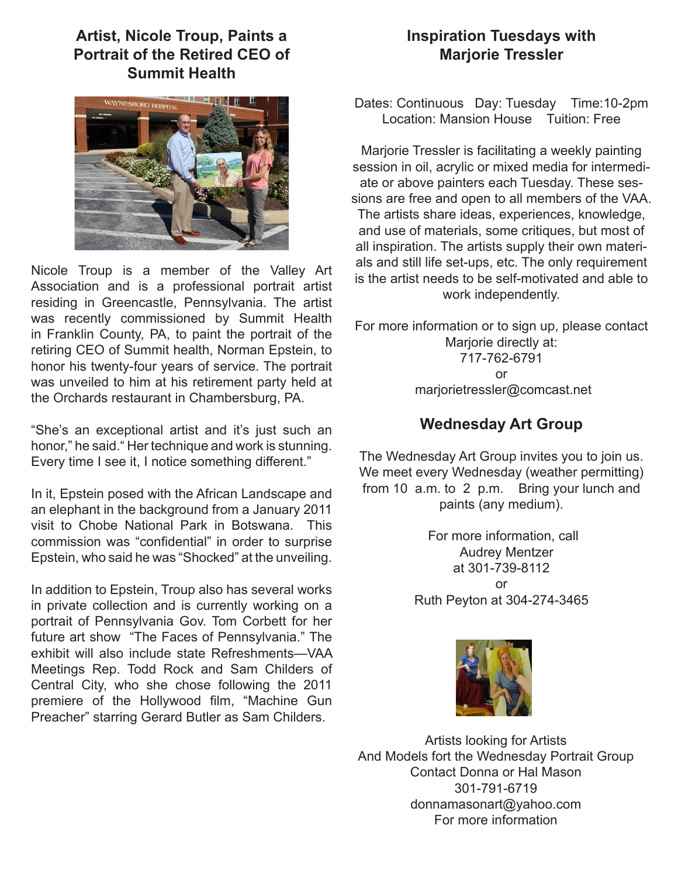## **Artist, Nicole Troup, Paints a Portrait of the Retired CEO of Summit Health**



Nicole Troup is a member of the Valley Art Association and is a professional portrait artist residing in Greencastle, Pennsylvania. The artist was recently commissioned by Summit Health in Franklin County, PA, to paint the portrait of the retiring CEO of Summit health, Norman Epstein, to honor his twenty-four years of service. The portrait was unveiled to him at his retirement party held at the Orchards restaurant in Chambersburg, PA.

"She's an exceptional artist and it's just such an honor," he said." Her technique and work is stunning. Every time I see it, I notice something different."

In it, Epstein posed with the African Landscape and an elephant in the background from a January 2011 visit to Chobe National Park in Botswana. This commission was "confidential" in order to surprise Epstein, who said he was "Shocked" at the unveiling.

In addition to Epstein, Troup also has several works in private collection and is currently working on a portrait of Pennsylvania Gov. Tom Corbett for her future art show "The Faces of Pennsylvania." The exhibit will also include state Refreshments—VAA Meetings Rep. Todd Rock and Sam Childers of Central City, who she chose following the 2011 premiere of the Hollywood film, "Machine Gun Preacher" starring Gerard Butler as Sam Childers.

## **Inspiration Tuesdays with Marjorie Tressler**

Dates: Continuous Day: Tuesday Time:10-2pm Location: Mansion House Tuition: Free

Marjorie Tressler is facilitating a weekly painting session in oil, acrylic or mixed media for intermediate or above painters each Tuesday. These sessions are free and open to all members of the VAA. The artists share ideas, experiences, knowledge, and use of materials, some critiques, but most of all inspiration. The artists supply their own materials and still life set-ups, etc. The only requirement is the artist needs to be self-motivated and able to work independently.

For more information or to sign up, please contact Marjorie directly at: 717-762-6791 or marjorietressler@comcast.net

## **Wednesday Art Group**

The Wednesday Art Group invites you to join us. We meet every Wednesday (weather permitting) from 10 a.m. to 2 p.m. Bring your lunch and paints (any medium).

> For more information, call Audrey Mentzer at 301-739-8112 or Ruth Peyton at 304-274-3465



Artists looking for Artists And Models fort the Wednesday Portrait Group Contact Donna or Hal Mason 301-791-6719 donnamasonart@yahoo.com For more information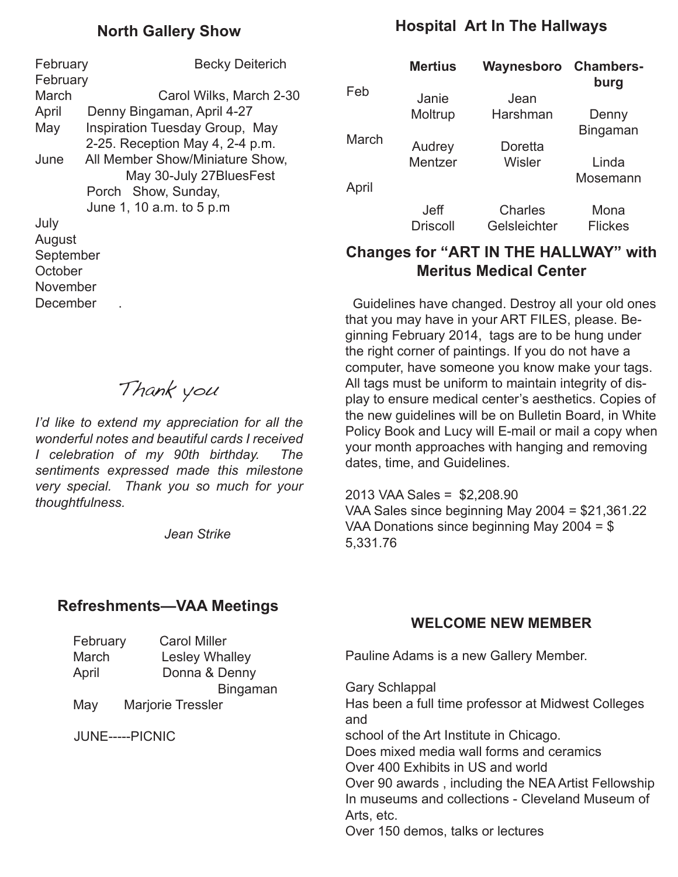## **North Gallery Show**

February **Becky Deiterich February** March Carol Wilks, March 2-30 April Denny Bingaman, April 4-27 May Inspiration Tuesday Group, May 2-25. Reception May 4, 2-4 p.m. June All Member Show/Miniature Show, May 30-July 27BluesFest Porch Show, Sunday, June 1, 10 a.m. to 5 p.m July August September **October** 

November **December** 

# Thank you

*I'd like to extend my appreciation for all the wonderful notes and beautiful cards I received I celebration of my 90th birthday. The sentiments expressed made this milestone very special. Thank you so much for your thoughtfulness.*

 *Jean Strike*

#### **Refreshments—VAA Meetings**

## **Hospital Art In The Hallways**

|       | <b>Mertius</b>                 | Waynesboro              | <b>Chambers-</b><br>burg |
|-------|--------------------------------|-------------------------|--------------------------|
| Feb   | Janie                          | Jean                    |                          |
|       | Moltrup                        | Harshman                | Denny                    |
| March |                                |                         | Bingaman                 |
|       | Audrey                         | Doretta                 |                          |
|       | Mentzer                        | Wisler                  | Linda                    |
| April |                                |                         | Mosemann                 |
|       | <b>Jeff</b><br><b>Driscoll</b> | Charles<br>Gelsleichter | Mona<br><b>Flickes</b>   |

## **Changes for "ART IN THE HALLWAY" with Meritus Medical Center**

 Guidelines have changed. Destroy all your old ones that you may have in your ART FILES, please. Beginning February 2014, tags are to be hung under the right corner of paintings. If you do not have a computer, have someone you know make your tags. All tags must be uniform to maintain integrity of display to ensure medical center's aesthetics. Copies of the new guidelines will be on Bulletin Board, in White Policy Book and Lucy will E-mail or mail a copy when your month approaches with hanging and removing dates, time, and Guidelines.

2013 VAA Sales = \$2,208.90 VAA Sales since beginning May 2004 = \$21,361.22 VAA Donations since beginning May 2004 = \$ 5,331.76

## **WELCOME NEW MEMBER**

|  | February        | <b>Carol Miller</b> |                                                                                                                       |
|--|-----------------|---------------------|-----------------------------------------------------------------------------------------------------------------------|
|  | March           | Lesley Whalley      | Pauline Adams is a new Gallery Member.                                                                                |
|  | April           | Donna & Denny       |                                                                                                                       |
|  |                 | <b>Bingaman</b>     | <b>Gary Schlappal</b>                                                                                                 |
|  | May             | Marjorie Tressler   | Has been a full time professor at Midwest Colleges<br>and                                                             |
|  | JUNE-----PICNIC |                     | school of the Art Institute in Chicago.                                                                               |
|  |                 |                     | Does mixed media wall forms and ceramics                                                                              |
|  |                 |                     | Over 400 Exhibits in US and world                                                                                     |
|  |                 |                     | Over 90 awards, including the NEA Artist Fellowship<br>In museums and collections - Cleveland Museum of<br>Arts, etc. |
|  |                 |                     | Over 150 demos, talks or lectures                                                                                     |